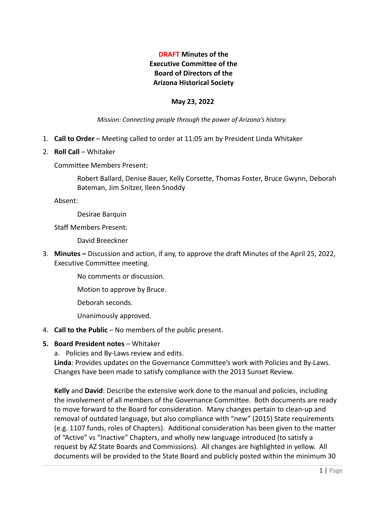# **DRAFT Minutes of the Executive Committee of the Board of Directors of the Arizona Historical Society**

#### **May 23, 2022**

*Mission: Connecting people through the power of Arizona's history.*

- 1. **Call to Order** Meeting called to order at 11:05 am by President Linda Whitaker
- 2. **Roll Call** Whitaker

Committee Members Present:

Robert Ballard, Denise Bauer, Kelly Corsette, Thomas Foster, Bruce Gwynn, Deborah Bateman, Jim Snitzer, Ileen Snoddy

Absent:

Desirae Barquin

Staff Members Present:

David Breeckner

3. **Minutes –** Discussion and action, if any, to approve the draft Minutes of the April 25, 2022, Executive Committee meeting.

No comments or discussion.

Motion to approve by Bruce.

Deborah seconds.

Unanimously approved.

- 4. **Call to the Public** No members of the public present.
- **5. Board President notes** Whitaker
	- a. Policies and By-Laws review and edits.

**Linda**: Provides updates on the Governance Committee's work with Policies and By-Laws. Changes have been made to satisfy compliance with the 2013 Sunset Review.

**Kelly** and **David**: Describe the extensive work done to the manual and policies, including the involvement of all members of the Governance Committee. Both documents are ready to move forward to the Board for consideration. Many changes pertain to clean-up and removal of outdated language, but also compliance with "new" (2015) State requirements (e.g. 1107 funds, roles of Chapters). Additional consideration has been given to the matter of "Active" vs "Inactive" Chapters, and wholly new language introduced (to satisfy a request by AZ State Boards and Commissions). All changes are highlighted in yellow. All documents will be provided to the State Board and publicly posted within the minimum 30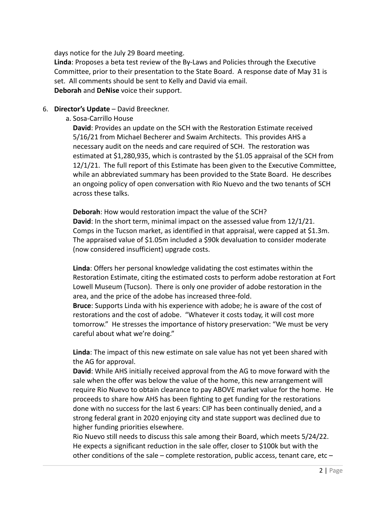days notice for the July 29 Board meeting.

**Linda**: Proposes a beta test review of the By-Laws and Policies through the Executive Committee, prior to their presentation to the State Board. A response date of May 31 is set. All comments should be sent to Kelly and David via email. **Deborah** and **DeNise** voice their support.

### 6. **Director's Update** – David Breeckner.

a. Sosa-Carrillo House

**David**: Provides an update on the SCH with the Restoration Estimate received 5/16/21 from Michael Becherer and Swaim Architects. This provides AHS a necessary audit on the needs and care required of SCH. The restoration was estimated at \$1,280,935, which is contrasted by the \$1.05 appraisal of the SCH from 12/1/21. The full report of this Estimate has been given to the Executive Committee, while an abbreviated summary has been provided to the State Board. He describes an ongoing policy of open conversation with Rio Nuevo and the two tenants of SCH across these talks.

**Deborah**: How would restoration impact the value of the SCH? **David**: In the short term, minimal impact on the assessed value from 12/1/21. Comps in the Tucson market, as identified in that appraisal, were capped at \$1.3m. The appraised value of \$1.05m included a \$90k devaluation to consider moderate (now considered insufficient) upgrade costs.

**Linda**: Offers her personal knowledge validating the cost estimates within the Restoration Estimate, citing the estimated costs to perform adobe restoration at Fort Lowell Museum (Tucson). There is only one provider of adobe restoration in the area, and the price of the adobe has increased three-fold.

**Bruce**: Supports Linda with his experience with adobe; he is aware of the cost of restorations and the cost of adobe. "Whatever it costs today, it will cost more tomorrow." He stresses the importance of history preservation: "We must be very careful about what we're doing."

**Linda**: The impact of this new estimate on sale value has not yet been shared with the AG for approval.

**David**: While AHS initially received approval from the AG to move forward with the sale when the offer was below the value of the home, this new arrangement will require Rio Nuevo to obtain clearance to pay ABOVE market value for the home. He proceeds to share how AHS has been fighting to get funding for the restorations done with no success for the last 6 years: CIP has been continually denied, and a strong federal grant in 2020 enjoying city and state support was declined due to higher funding priorities elsewhere.

Rio Nuevo still needs to discuss this sale among their Board, which meets 5/24/22. He expects a significant reduction in the sale offer, closer to \$100k but with the other conditions of the sale – complete restoration, public access, tenant care, etc –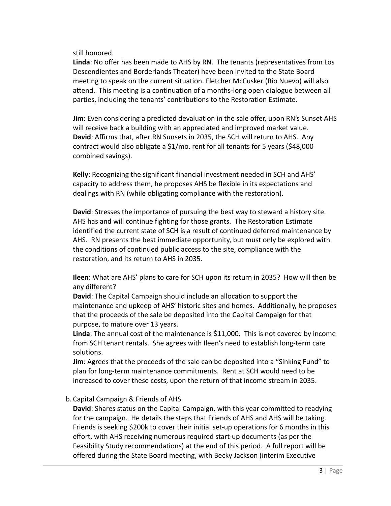still honored.

**Linda**: No offer has been made to AHS by RN. The tenants (representatives from Los Descendientes and Borderlands Theater) have been invited to the State Board meeting to speak on the current situation. Fletcher McCusker (Rio Nuevo) will also attend. This meeting is a continuation of a months-long open dialogue between all parties, including the tenants' contributions to the Restoration Estimate.

**Jim**: Even considering a predicted devaluation in the sale offer, upon RN's Sunset AHS will receive back a building with an appreciated and improved market value. **David**: Affirms that, after RN Sunsets in 2035, the SCH will return to AHS. Any contract would also obligate a \$1/mo. rent for all tenants for 5 years (\$48,000 combined savings).

**Kelly**: Recognizing the significant financial investment needed in SCH and AHS' capacity to address them, he proposes AHS be flexible in its expectations and dealings with RN (while obligating compliance with the restoration).

**David**: Stresses the importance of pursuing the best way to steward a history site. AHS has and will continue fighting for those grants. The Restoration Estimate identified the current state of SCH is a result of continued deferred maintenance by AHS. RN presents the best immediate opportunity, but must only be explored with the conditions of continued public access to the site, compliance with the restoration, and its return to AHS in 2035.

**Ileen**: What are AHS' plans to care for SCH upon its return in 2035? How will then be any different?

**David**: The Capital Campaign should include an allocation to support the maintenance and upkeep of AHS' historic sites and homes. Additionally, he proposes that the proceeds of the sale be deposited into the Capital Campaign for that purpose, to mature over 13 years.

**Linda**: The annual cost of the maintenance is \$11,000. This is not covered by income from SCH tenant rentals. She agrees with Ileen's need to establish long-term care solutions.

**Jim**: Agrees that the proceeds of the sale can be deposited into a "Sinking Fund" to plan for long-term maintenance commitments. Rent at SCH would need to be increased to cover these costs, upon the return of that income stream in 2035.

b. Capital Campaign & Friends of AHS

**David**: Shares status on the Capital Campaign, with this year committed to readying for the campaign. He details the steps that Friends of AHS and AHS will be taking. Friends is seeking \$200k to cover their initial set-up operations for 6 months in this effort, with AHS receiving numerous required start-up documents (as per the Feasibility Study recommendations) at the end of this period. A full report will be offered during the State Board meeting, with Becky Jackson (interim Executive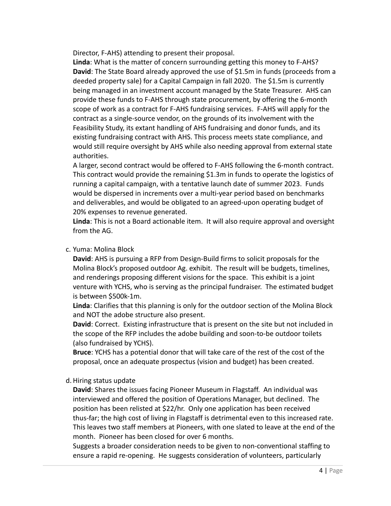Director, F-AHS) attending to present their proposal.

**Linda**: What is the matter of concern surrounding getting this money to F-AHS? **David**: The State Board already approved the use of \$1.5m in funds (proceeds from a deeded property sale) for a Capital Campaign in fall 2020. The \$1.5m is currently being managed in an investment account managed by the State Treasurer. AHS can provide these funds to F-AHS through state procurement, by offering the 6-month scope of work as a contract for F-AHS fundraising services. F-AHS will apply for the contract as a single-source vendor, on the grounds of its involvement with the Feasibility Study, its extant handling of AHS fundraising and donor funds, and its existing fundraising contract with AHS. This process meets state compliance, and would still require oversight by AHS while also needing approval from external state authorities.

A larger, second contract would be offered to F-AHS following the 6-month contract. This contract would provide the remaining \$1.3m in funds to operate the logistics of running a capital campaign, with a tentative launch date of summer 2023. Funds would be dispersed in increments over a multi-year period based on benchmarks and deliverables, and would be obligated to an agreed-upon operating budget of 20% expenses to revenue generated.

**Linda**: This is not a Board actionable item. It will also require approval and oversight from the AG.

## c. Yuma: Molina Block

**David**: AHS is pursuing a RFP from Design-Build firms to solicit proposals for the Molina Block's proposed outdoor Ag. exhibit. The result will be budgets, timelines, and renderings proposing different visions for the space. This exhibit is a joint venture with YCHS, who is serving as the principal fundraiser. The estimated budget is between \$500k-1m.

**Linda**: Clarifies that this planning is only for the outdoor section of the Molina Block and NOT the adobe structure also present.

**David**: Correct. Existing infrastructure that is present on the site but not included in the scope of the RFP includes the adobe building and soon-to-be outdoor toilets (also fundraised by YCHS).

**Bruce**: YCHS has a potential donor that will take care of the rest of the cost of the proposal, once an adequate prospectus (vision and budget) has been created.

## d. Hiring status update

**David**: Shares the issues facing Pioneer Museum in Flagstaff. An individual was interviewed and offered the position of Operations Manager, but declined. The position has been relisted at \$22/hr. Only one application has been received thus-far; the high cost of living in Flagstaff is detrimental even to this increased rate. This leaves two staff members at Pioneers, with one slated to leave at the end of the month. Pioneer has been closed for over 6 months.

Suggests a broader consideration needs to be given to non-conventional staffing to ensure a rapid re-opening. He suggests consideration of volunteers, particularly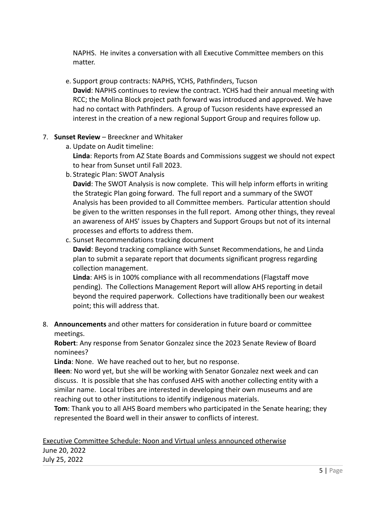NAPHS. He invites a conversation with all Executive Committee members on this matter.

- e. Support group contracts: NAPHS, YCHS, Pathfinders, Tucson **David**: NAPHS continues to review the contract. YCHS had their annual meeting with RCC; the Molina Block project path forward was introduced and approved. We have had no contact with Pathfinders. A group of Tucson residents have expressed an interest in the creation of a new regional Support Group and requires follow up.
- 7. **Sunset Review** Breeckner and Whitaker
	- a. Update on Audit timeline:

**Linda**: Reports from AZ State Boards and Commissions suggest we should not expect to hear from Sunset until Fall 2023.

b. Strategic Plan: SWOT Analysis

**David**: The SWOT Analysis is now complete. This will help inform efforts in writing the Strategic Plan going forward. The full report and a summary of the SWOT Analysis has been provided to all Committee members. Particular attention should be given to the written responses in the full report. Among other things, they reveal an awareness of AHS' issues by Chapters and Support Groups but not of its internal processes and efforts to address them.

c. Sunset Recommendations tracking document

**David**: Beyond tracking compliance with Sunset Recommendations, he and Linda plan to submit a separate report that documents significant progress regarding collection management.

**Linda**: AHS is in 100% compliance with all recommendations (Flagstaff move pending). The Collections Management Report will allow AHS reporting in detail beyond the required paperwork. Collections have traditionally been our weakest point; this will address that.

8. **Announcements** and other matters for consideration in future board or committee meetings.

**Robert**: Any response from Senator Gonzalez since the 2023 Senate Review of Board nominees?

**Linda**: None. We have reached out to her, but no response.

**Ileen**: No word yet, but she will be working with Senator Gonzalez next week and can discuss. It is possible that she has confused AHS with another collecting entity with a similar name. Local tribes are interested in developing their own museums and are reaching out to other institutions to identify indigenous materials.

**Tom**: Thank you to all AHS Board members who participated in the Senate hearing; they represented the Board well in their answer to conflicts of interest.

Executive Committee Schedule: Noon and Virtual unless announced otherwise June 20, 2022 July 25, 2022